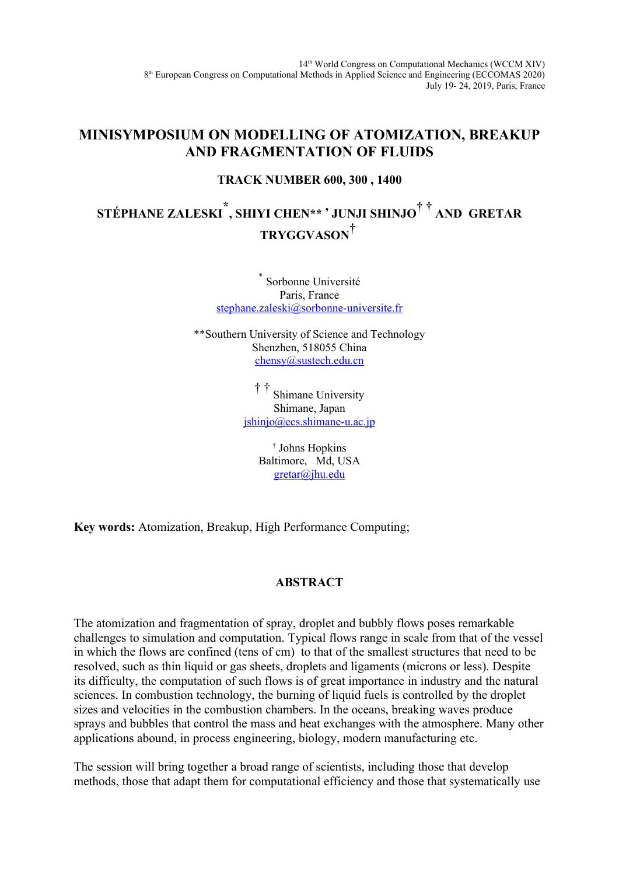14th World Congress on Computational Mechanics (WCCM XIV) 8<sup>th</sup> European Congress on Computational Methods in Applied Science and Engineering (ECCOMAS 2020) July 19- 24, 2019, Paris, France

## **MINISYMPOSIUM ON MODELLING OF ATOMIZATION, BREAKUP AND FRAGMENTATION OF FLUIDS**

### **TRACK NUMBER 600, 300 , 1400**

# **STÉPHANE ZALESKI\* , SHIYI CHEN\*\* , JUNJI SHINJO† † AND GRETAR TRYGGVASON†**

\* Sorbonne Université Paris, France [stephane.zaleski@sorbonne-universite.fr](mailto:stephane.zaleski@sorbonne-universite.fr)

\*\*Southern University of Science and Technology Shenzhen, 518055 China [chensy@sustech.edu.cn](mailto:chensy@sustech.edu.cn)

> † † Shimane University Shimane, Japan [jshinjo@ecs.shimane-u.ac.jp](mailto:jshinjo@ecs.shimane-u.ac.jp)

> > † Johns Hopkins Baltimore, Md, USA [gretar@jhu.edu](mailto:gretar@jhu.edu)

**Key words:** Atomization, Breakup, High Performance Computing;

### **ABSTRACT**

The atomization and fragmentation of spray, droplet and bubbly flows poses remarkable challenges to simulation and computation. Typical flows range in scale from that of the vessel in which the flows are confined (tens of cm) to that of the smallest structures that need to be resolved, such as thin liquid or gas sheets, droplets and ligaments (microns or less). Despite its difficulty, the computation of such flows is of great importance in industry and the natural sciences. In combustion technology, the burning of liquid fuels is controlled by the droplet sizes and velocities in the combustion chambers. In the oceans, breaking waves produce sprays and bubbles that control the mass and heat exchanges with the atmosphere. Many other applications abound, in process engineering, biology, modern manufacturing etc.

The session will bring together a broad range of scientists, including those that develop methods, those that adapt them for computational efficiency and those that systematically use